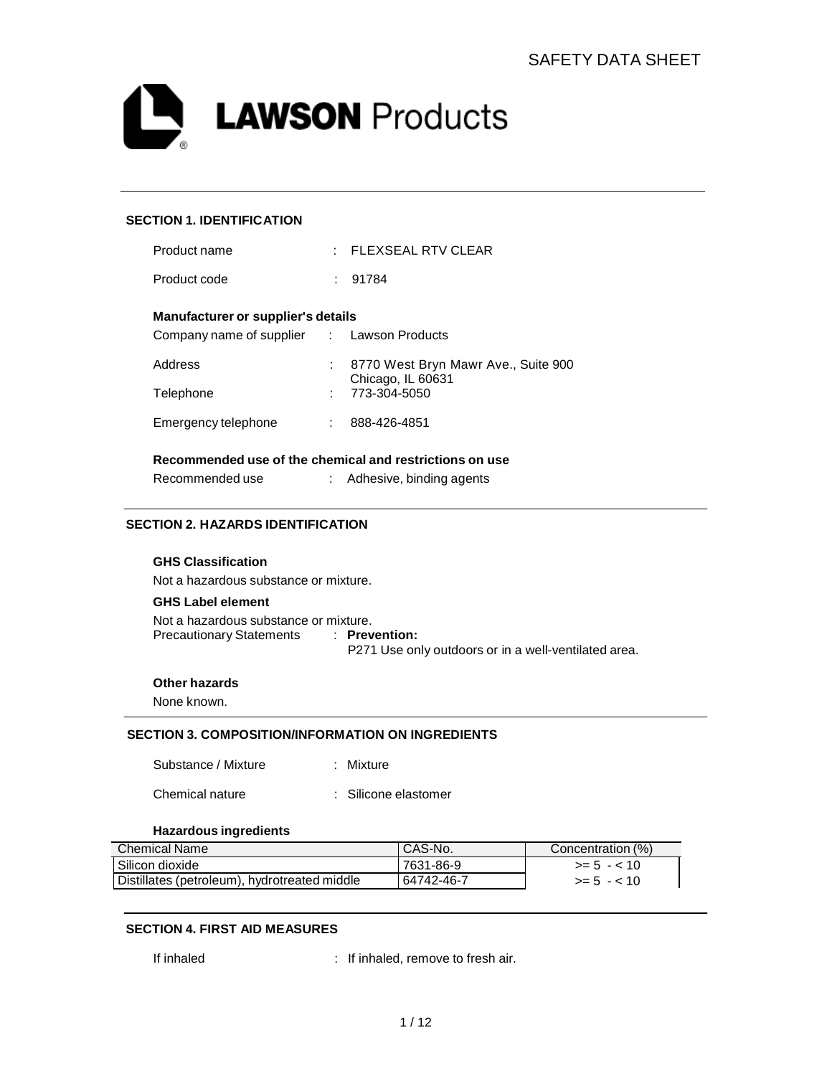

### **SECTION 1. IDENTIFICATION**

| Product name                                            |    | $:$ FLEXSEAL RTV CLEAR                                   |  |  |
|---------------------------------------------------------|----|----------------------------------------------------------|--|--|
| Product code                                            |    | : 91784                                                  |  |  |
| Manufacturer or supplier's details                      |    |                                                          |  |  |
| Company name of supplier : Lawson Products              |    |                                                          |  |  |
| Address                                                 | t. | 8770 West Bryn Mawr Ave., Suite 900<br>Chicago, IL 60631 |  |  |
| Telephone                                               |    | 773-304-5050                                             |  |  |
| Emergency telephone                                     | t. | 888-426-4851                                             |  |  |
| Recommended use of the chemical and restrictions on use |    |                                                          |  |  |
| Recommended use                                         |    | Adhesive, binding agents                                 |  |  |

## **SECTION 2. HAZARDS IDENTIFICATION**

## **GHS Classification**

Not a hazardous substance or mixture.

#### **GHS Label element**

Not a hazardous substance or mixture. Precautionary Statements : **Prevention:** P271 Use only outdoors or in a well-ventilated area.

### **Other hazards**

None known.

#### **SECTION 3. COMPOSITION/INFORMATION ON INGREDIENTS**

| Substance / Mixture | : Mixture |
|---------------------|-----------|
|                     |           |

#### **Hazardous ingredients**

| <b>Chemical Name</b>                         | I CAS-No.  | Concentration (%) |
|----------------------------------------------|------------|-------------------|
| l Silicon dioxide                            | 7631-86-9  | $>= 5 - < 10$     |
| Distillates (petroleum), hydrotreated middle | 64742-46-7 | $>= 5 - < 10$     |

#### **SECTION 4. FIRST AID MEASURES**

If inhaled : If inhaled, remove to fresh air.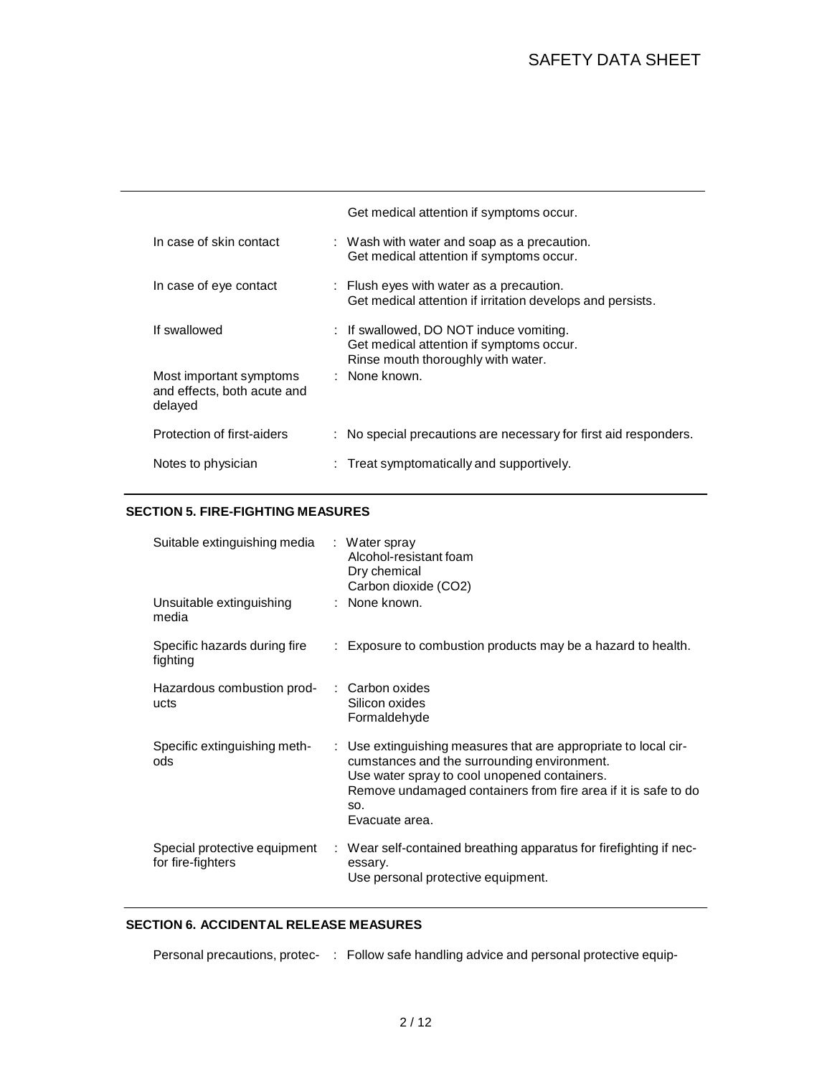# SAFETY DATA SHEET

|                                                                   | Get medical attention if symptoms occur.                                                                                  |
|-------------------------------------------------------------------|---------------------------------------------------------------------------------------------------------------------------|
| In case of skin contact                                           | : Wash with water and soap as a precaution.<br>Get medical attention if symptoms occur.                                   |
| In case of eye contact                                            | $\therefore$ Flush eyes with water as a precaution.<br>Get medical attention if irritation develops and persists.         |
| If swallowed                                                      | : If swallowed, DO NOT induce vomiting.<br>Get medical attention if symptoms occur.<br>Rinse mouth thoroughly with water. |
| Most important symptoms<br>and effects, both acute and<br>delayed | : None known.                                                                                                             |
| Protection of first-aiders                                        | : No special precautions are necessary for first aid responders.                                                          |
| Notes to physician                                                | : Treat symptomatically and supportively.                                                                                 |

## **SECTION 5. FIRE-FIGHTING MEASURES**

| Suitable extinguishing media                      | : Water spray<br>Alcohol-resistant foam<br>Dry chemical<br>Carbon dioxide (CO2)                                                                                                                                                                           |
|---------------------------------------------------|-----------------------------------------------------------------------------------------------------------------------------------------------------------------------------------------------------------------------------------------------------------|
| Unsuitable extinguishing<br>media                 | : None known.                                                                                                                                                                                                                                             |
| Specific hazards during fire<br>fighting          | : Exposure to combustion products may be a hazard to health.                                                                                                                                                                                              |
| Hazardous combustion prod-<br>ucts                | $\therefore$ Carbon oxides<br>Silicon oxides<br>Formaldehyde                                                                                                                                                                                              |
| Specific extinguishing meth-<br>ods               | : Use extinguishing measures that are appropriate to local cir-<br>cumstances and the surrounding environment.<br>Use water spray to cool unopened containers.<br>Remove undamaged containers from fire area if it is safe to do<br>SO.<br>Evacuate area. |
| Special protective equipment<br>for fire-fighters | : Wear self-contained breathing apparatus for firefighting if nec-<br>essary.<br>Use personal protective equipment.                                                                                                                                       |

## **SECTION 6. ACCIDENTAL RELEASE MEASURES**

Personal precautions, protec- : Follow safe handling advice and personal protective equip-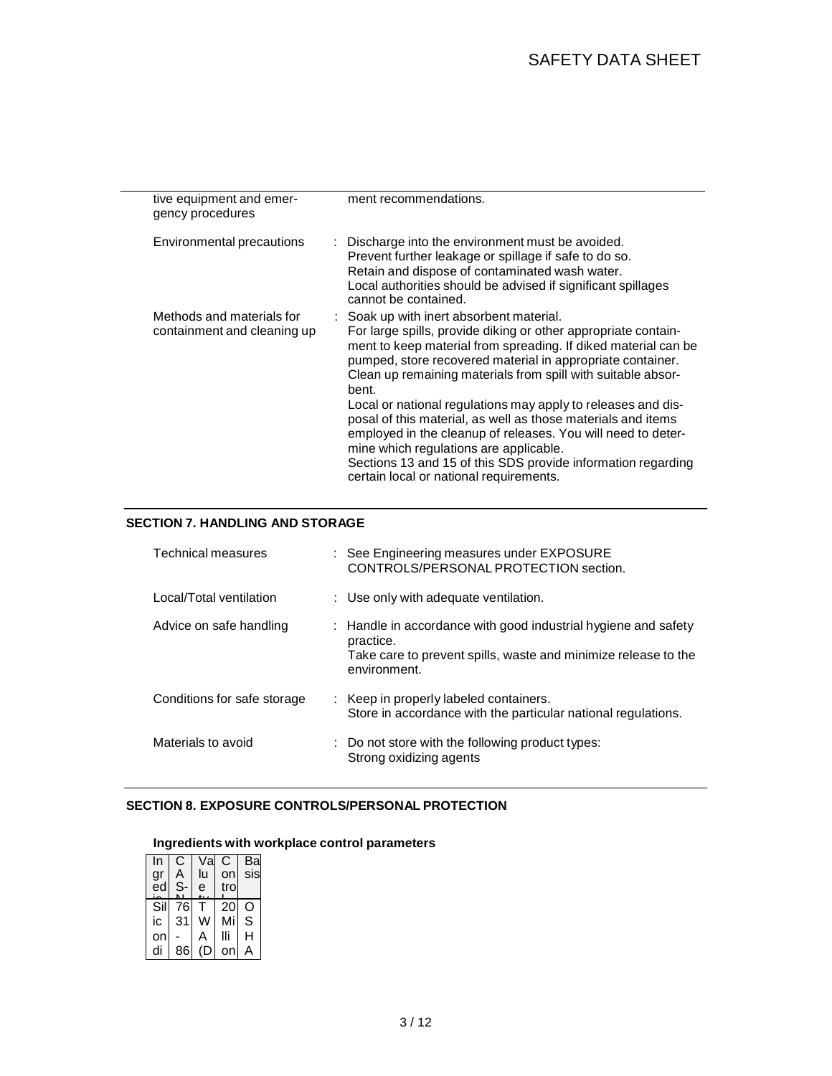| tive equipment and emer-<br>gency procedures             | ment recommendations.                                                                                                                                                                                                                                                                                                                                                                                                                                                                                                                                         |
|----------------------------------------------------------|---------------------------------------------------------------------------------------------------------------------------------------------------------------------------------------------------------------------------------------------------------------------------------------------------------------------------------------------------------------------------------------------------------------------------------------------------------------------------------------------------------------------------------------------------------------|
| Environmental precautions                                | : Discharge into the environment must be avoided.<br>Prevent further leakage or spillage if safe to do so.<br>Retain and dispose of contaminated wash water.<br>Local authorities should be advised if significant spillages<br>cannot be contained.                                                                                                                                                                                                                                                                                                          |
| Methods and materials for<br>containment and cleaning up | : Soak up with inert absorbent material.<br>For large spills, provide diking or other appropriate contain-<br>ment to keep material from spreading. If diked material can be<br>pumped, store recovered material in appropriate container.<br>Clean up remaining materials from spill with suitable absor-<br>bent.<br>Local or national regulations may apply to releases and dis-<br>posal of this material, as well as those materials and items<br>employed in the cleanup of releases. You will need to deter-<br>mine which regulations are applicable. |
|                                                          | Sections 13 and 15 of this SDS provide information regarding<br>certain local or national requirements.                                                                                                                                                                                                                                                                                                                                                                                                                                                       |

## **SECTION 7. HANDLING AND STORAGE**

| Technical measures          | : See Engineering measures under EXPOSURE<br>CONTROLS/PERSONAL PROTECTION section.                                                                            |
|-----------------------------|---------------------------------------------------------------------------------------------------------------------------------------------------------------|
| Local/Total ventilation     | : Use only with adequate ventilation.                                                                                                                         |
| Advice on safe handling     | : Handle in accordance with good industrial hygiene and safety<br>practice.<br>Take care to prevent spills, waste and minimize release to the<br>environment. |
| Conditions for safe storage | : Keep in properly labeled containers.<br>Store in accordance with the particular national regulations.                                                       |
| Materials to avoid          | : Do not store with the following product types:<br>Strong oxidizing agents                                                                                   |

### **SECTION 8. EXPOSURE CONTROLS/PERSONAL PROTECTION**

## **Ingredients with workplace control parameters**

| In              | С  | Val | С    | Bal |
|-----------------|----|-----|------|-----|
| gr              | А  | lu  | on   | sis |
| $\overline{e}d$ | S. | e   | trol |     |
| Sil             | 76 |     | 20   | റ   |
| ic              | 31 | W   | Mi   | S   |
| on              |    | А   | Шi   | Н   |
| di              | 86 | (D  | on   | А   |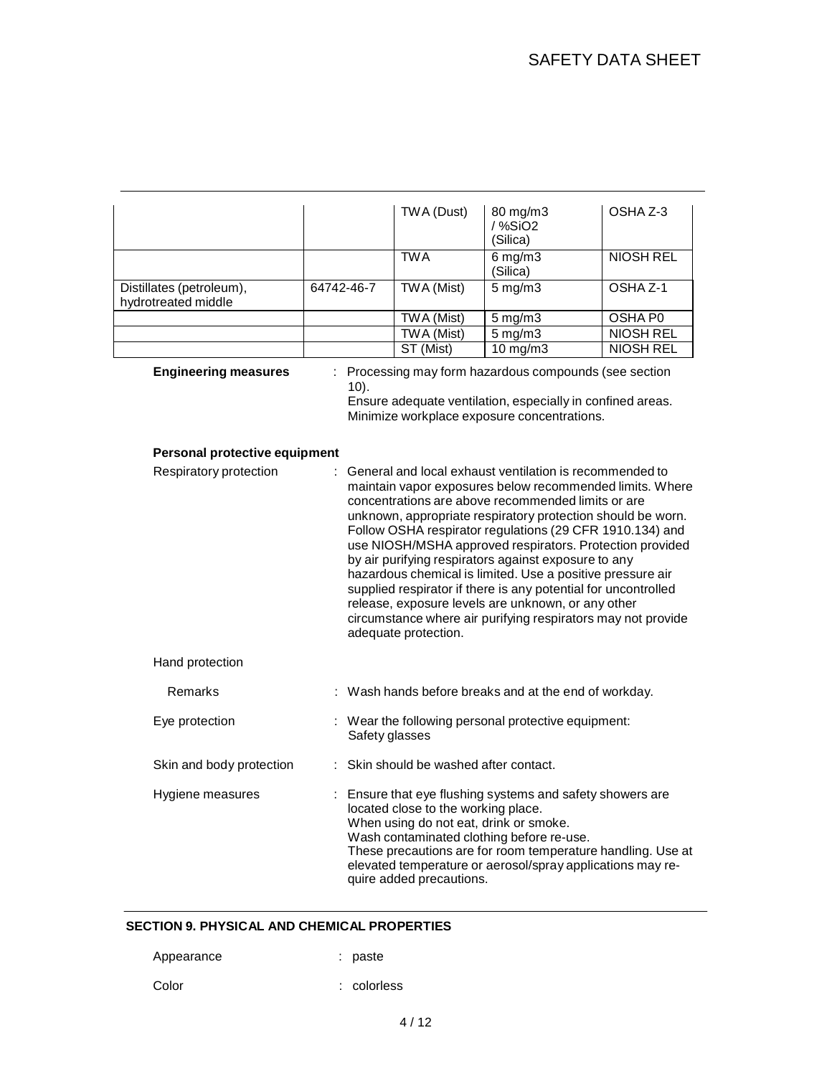|                                                 |            |                | TWA (Dust)                                                                                                | 80 mg/m3<br>$/$ %SiO <sub>2</sub><br>(Silica)                                                                                                                                                                                                                                                                                                                                                                                                                                                                                                                                                                                                                                  | OSHA Z-3            |
|-------------------------------------------------|------------|----------------|-----------------------------------------------------------------------------------------------------------|--------------------------------------------------------------------------------------------------------------------------------------------------------------------------------------------------------------------------------------------------------------------------------------------------------------------------------------------------------------------------------------------------------------------------------------------------------------------------------------------------------------------------------------------------------------------------------------------------------------------------------------------------------------------------------|---------------------|
|                                                 |            |                | <b>TWA</b>                                                                                                | $6 \,\mathrm{mg/m3}$<br>(Silica)                                                                                                                                                                                                                                                                                                                                                                                                                                                                                                                                                                                                                                               | <b>NIOSH REL</b>    |
| Distillates (petroleum),<br>hydrotreated middle | 64742-46-7 |                | <b>TWA (Mist)</b>                                                                                         | $5 \,\mathrm{mg/m}$                                                                                                                                                                                                                                                                                                                                                                                                                                                                                                                                                                                                                                                            | OSHA <sub>Z-1</sub> |
|                                                 |            |                | <b>TWA (Mist)</b>                                                                                         | $5$ mg/m $3$                                                                                                                                                                                                                                                                                                                                                                                                                                                                                                                                                                                                                                                                   | <b>OSHA P0</b>      |
|                                                 |            |                | <b>TWA</b> (Mist)                                                                                         | $5 \,\mathrm{mg/m}$                                                                                                                                                                                                                                                                                                                                                                                                                                                                                                                                                                                                                                                            | <b>NIOSH REL</b>    |
|                                                 |            |                | ST (Mist)                                                                                                 | $10$ mg/m $3$                                                                                                                                                                                                                                                                                                                                                                                                                                                                                                                                                                                                                                                                  | <b>NIOSH REL</b>    |
| <b>Engineering measures</b>                     |            | $10$ ).        |                                                                                                           | Processing may form hazardous compounds (see section<br>Ensure adequate ventilation, especially in confined areas.<br>Minimize workplace exposure concentrations.                                                                                                                                                                                                                                                                                                                                                                                                                                                                                                              |                     |
| Personal protective equipment                   |            |                |                                                                                                           |                                                                                                                                                                                                                                                                                                                                                                                                                                                                                                                                                                                                                                                                                |                     |
| Respiratory protection                          |            |                | adequate protection.                                                                                      | General and local exhaust ventilation is recommended to<br>maintain vapor exposures below recommended limits. Where<br>concentrations are above recommended limits or are<br>unknown, appropriate respiratory protection should be worn.<br>Follow OSHA respirator regulations (29 CFR 1910.134) and<br>use NIOSH/MSHA approved respirators. Protection provided<br>by air purifying respirators against exposure to any<br>hazardous chemical is limited. Use a positive pressure air<br>supplied respirator if there is any potential for uncontrolled<br>release, exposure levels are unknown, or any other<br>circumstance where air purifying respirators may not provide |                     |
| Hand protection                                 |            |                |                                                                                                           |                                                                                                                                                                                                                                                                                                                                                                                                                                                                                                                                                                                                                                                                                |                     |
| Remarks                                         |            |                |                                                                                                           | : Wash hands before breaks and at the end of workday.                                                                                                                                                                                                                                                                                                                                                                                                                                                                                                                                                                                                                          |                     |
| Eye protection                                  |            | Safety glasses |                                                                                                           | : Wear the following personal protective equipment:                                                                                                                                                                                                                                                                                                                                                                                                                                                                                                                                                                                                                            |                     |
| Skin and body protection                        |            |                | Skin should be washed after contact.                                                                      |                                                                                                                                                                                                                                                                                                                                                                                                                                                                                                                                                                                                                                                                                |                     |
| Hygiene measures                                |            |                | located close to the working place.<br>When using do not eat, drink or smoke.<br>quire added precautions. | : Ensure that eye flushing systems and safety showers are<br>Wash contaminated clothing before re-use.<br>These precautions are for room temperature handling. Use at<br>elevated temperature or aerosol/spray applications may re-                                                                                                                                                                                                                                                                                                                                                                                                                                            |                     |

## **SECTION 9. PHYSICAL AND CHEMICAL PROPERTIES**

| Appearance | : paste     |
|------------|-------------|
| Color      | : colorless |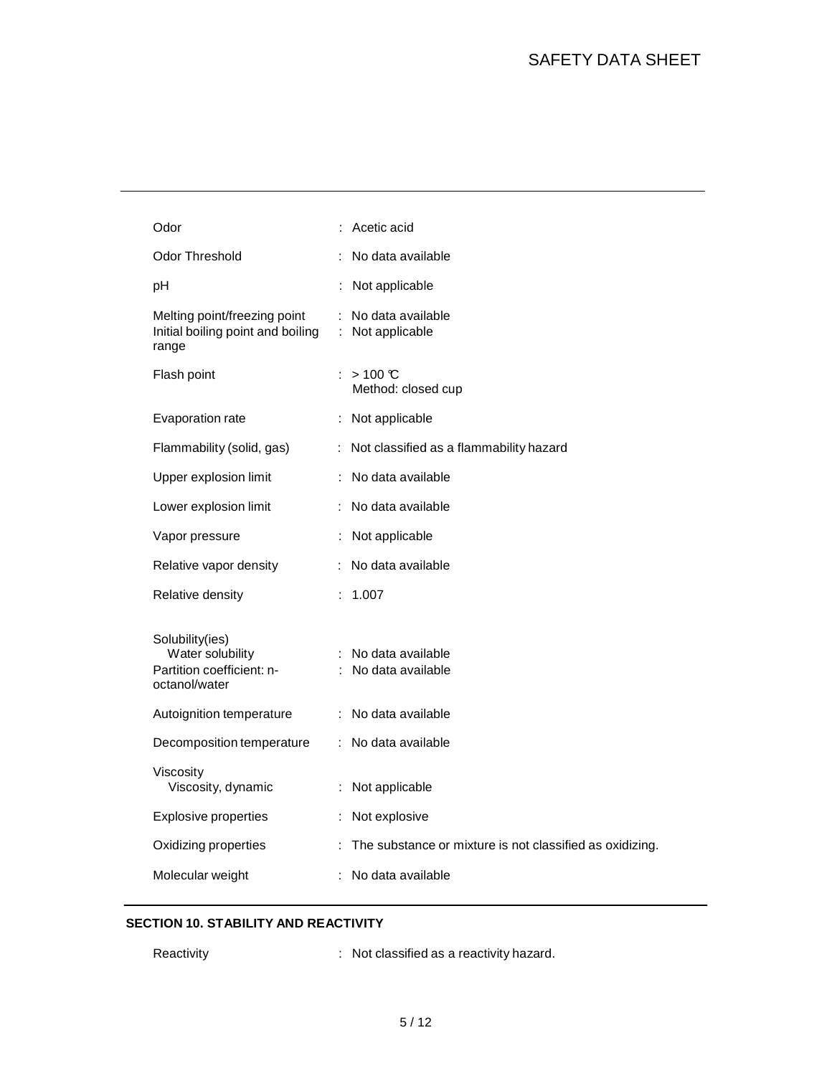| Odor                                                                              |   | Acetic acid                                              |
|-----------------------------------------------------------------------------------|---|----------------------------------------------------------|
| <b>Odor Threshold</b>                                                             |   | No data available                                        |
| pH                                                                                |   | Not applicable                                           |
| Melting point/freezing point<br>Initial boiling point and boiling<br>range        | ÷ | No data available<br>: Not applicable                    |
| Flash point                                                                       |   | : $>100 \text{ C}$<br>Method: closed cup                 |
| Evaporation rate                                                                  |   | : Not applicable                                         |
| Flammability (solid, gas)                                                         |   | : Not classified as a flammability hazard                |
| Upper explosion limit                                                             |   | No data available                                        |
| Lower explosion limit                                                             |   | No data available                                        |
| Vapor pressure                                                                    |   | Not applicable                                           |
| Relative vapor density                                                            |   | : No data available                                      |
| Relative density                                                                  |   | : 1.007                                                  |
| Solubility(ies)<br>Water solubility<br>Partition coefficient: n-<br>octanol/water |   | : No data available<br>: No data available               |
| Autoignition temperature                                                          |   | : No data available                                      |
| Decomposition temperature                                                         |   | : No data available                                      |
| Viscosity<br>Viscosity, dynamic                                                   |   | : Not applicable                                         |
| <b>Explosive properties</b>                                                       |   | Not explosive                                            |
| Oxidizing properties                                                              | ÷ | The substance or mixture is not classified as oxidizing. |
| Molecular weight                                                                  |   | No data available                                        |

## **SECTION 10. STABILITY AND REACTIVITY**

- 
- Reactivity **Reactivity** : Not classified as a reactivity hazard.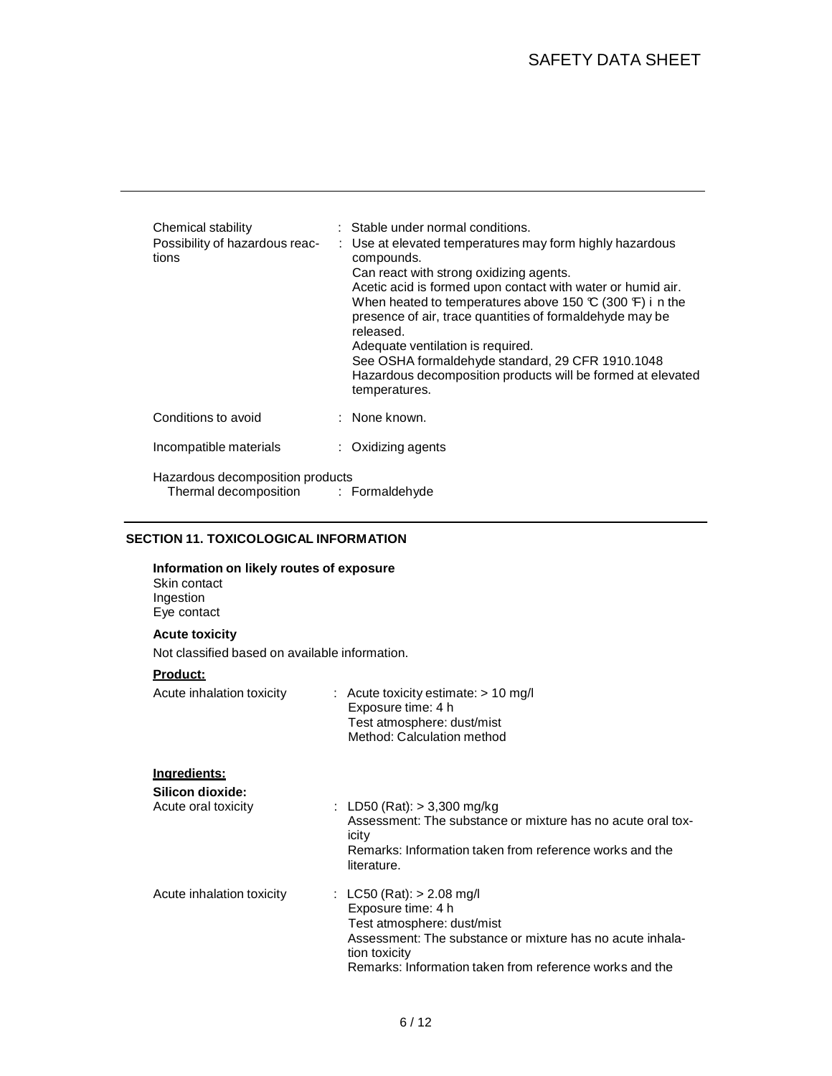| Chemical stability<br>Possibility of hazardous reac-<br>tions               |  | : Stable under normal conditions.<br>: Use at elevated temperatures may form highly hazardous<br>compounds.<br>Can react with strong oxidizing agents.<br>Acetic acid is formed upon contact with water or humid air.<br>When heated to temperatures above 150 $\mathbb{C}$ (300 $\mathbb{F}$ ) i n the<br>presence of air, trace quantities of formaldehyde may be<br>released.<br>Adequate ventilation is required.<br>See OSHA formaldehyde standard, 29 CFR 1910.1048<br>Hazardous decomposition products will be formed at elevated<br>temperatures. |
|-----------------------------------------------------------------------------|--|-----------------------------------------------------------------------------------------------------------------------------------------------------------------------------------------------------------------------------------------------------------------------------------------------------------------------------------------------------------------------------------------------------------------------------------------------------------------------------------------------------------------------------------------------------------|
| Conditions to avoid                                                         |  | : None known.                                                                                                                                                                                                                                                                                                                                                                                                                                                                                                                                             |
| Incompatible materials                                                      |  | $\therefore$ Oxidizing agents                                                                                                                                                                                                                                                                                                                                                                                                                                                                                                                             |
| Hazardous decomposition products<br>Thermal decomposition<br>: Formaldehyde |  |                                                                                                                                                                                                                                                                                                                                                                                                                                                                                                                                                           |

# **SECTION 11. TOXICOLOGICAL INFORMATION**

| Information on likely routes of exposure<br>Skin contact<br>Ingestion<br>Eye contact |                                                                                                                                                                                                                          |
|--------------------------------------------------------------------------------------|--------------------------------------------------------------------------------------------------------------------------------------------------------------------------------------------------------------------------|
| <b>Acute toxicity</b>                                                                |                                                                                                                                                                                                                          |
| Not classified based on available information.                                       |                                                                                                                                                                                                                          |
| <b>Product:</b>                                                                      |                                                                                                                                                                                                                          |
| Acute inhalation toxicity                                                            | $:$ Acute toxicity estimate: $> 10$ mg/l<br>Exposure time: 4 h<br>Test atmosphere: dust/mist<br>Method: Calculation method                                                                                               |
| Ingredients:                                                                         |                                                                                                                                                                                                                          |
| Silicon dioxide:<br>Acute oral toxicity                                              | : LD50 (Rat): $> 3,300$ mg/kg<br>Assessment: The substance or mixture has no acute oral tox-<br>icity<br>Remarks: Information taken from reference works and the<br>literature.                                          |
| Acute inhalation toxicity                                                            | : LC50 (Rat): $> 2.08$ mg/l<br>Exposure time: 4 h<br>Test atmosphere: dust/mist<br>Assessment: The substance or mixture has no acute inhala-<br>tion toxicity<br>Remarks: Information taken from reference works and the |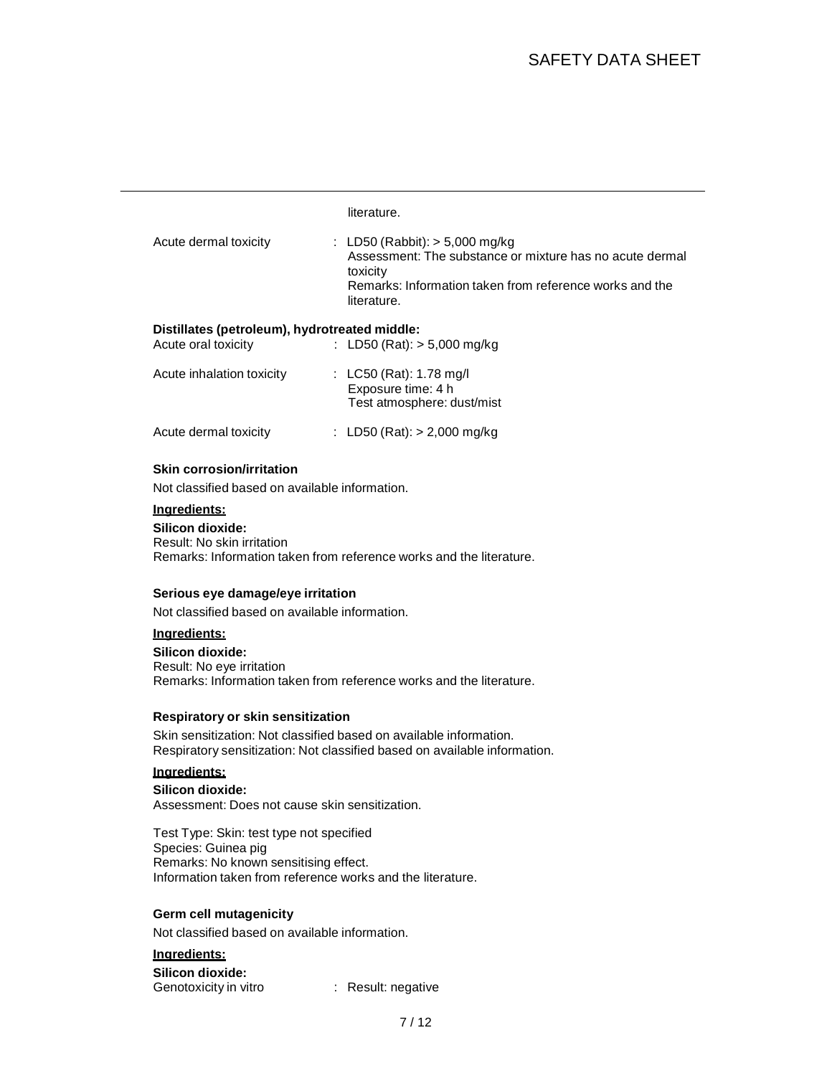# SAFETY DATA SHEET

#### literature.

| Acute dermal toxicity | : LD50 (Rabbit): $>$ 5,000 mg/kg                         |
|-----------------------|----------------------------------------------------------|
|                       | Assessment: The substance or mixture has no acute dermal |
|                       | toxicity                                                 |
|                       | Remarks: Information taken from reference works and the  |
|                       | literature.                                              |

#### **Distillates (petroleum), hydrotreated middle:**

| Acute oral toxicity       | : LD50 (Rat): $> 5,000$ mg/kg                                               |
|---------------------------|-----------------------------------------------------------------------------|
| Acute inhalation toxicity | : LC50 (Rat): 1.78 mg/l<br>Exposure time: 4 h<br>Test atmosphere: dust/mist |
| Acute dermal toxicity     | : LD50 (Rat): $> 2,000$ mg/kg                                               |

#### **Skin corrosion/irritation**

Not classified based on available information.

## **Ingredients:**

**Silicon dioxide:** Result: No skin irritation Remarks: Information taken from reference works and the literature.

#### **Serious eye damage/eye irritation**

Not classified based on available information.

#### **Ingredients:**

**Silicon dioxide:** Result: No eye irritation Remarks: Information taken from reference works and the literature.

#### **Respiratory or skin sensitization**

Skin sensitization: Not classified based on available information. Respiratory sensitization: Not classified based on available information.

#### **Ingredients:**

**Silicon dioxide:** Assessment: Does not cause skin sensitization.

Test Type: Skin: test type not specified Species: Guinea pig Remarks: No known sensitising effect. Information taken from reference works and the literature.

#### **Germ cell mutagenicity**

Not classified based on available information.

#### **Ingredients: Silicon dioxide:** Genotoxicity in vitro : Result: negative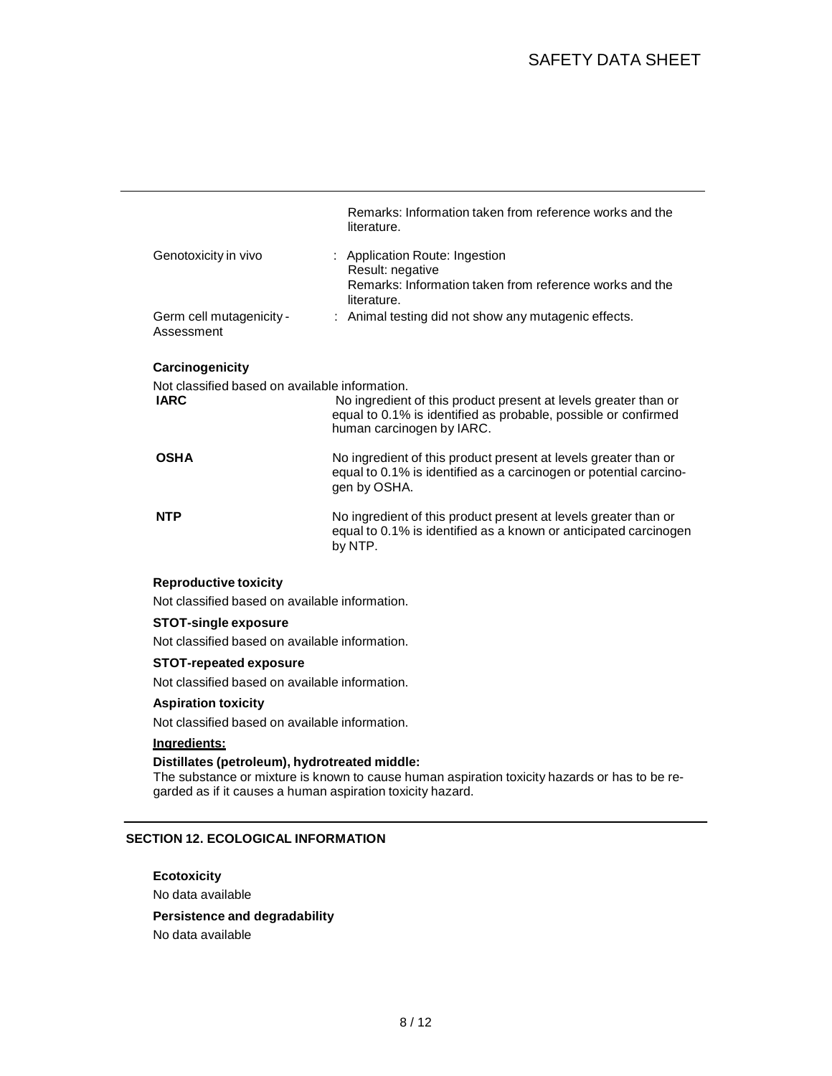|                                                               | Remarks: Information taken from reference works and the<br>literature.                                                                                         |
|---------------------------------------------------------------|----------------------------------------------------------------------------------------------------------------------------------------------------------------|
| Genotoxicity in vivo                                          | : Application Route: Ingestion<br>Result: negative<br>Remarks: Information taken from reference works and the<br>literature.                                   |
| Germ cell mutagenicity -<br>Assessment                        | : Animal testing did not show any mutagenic effects.                                                                                                           |
| Carcinogenicity                                               |                                                                                                                                                                |
| Not classified based on available information.<br><b>IARC</b> | No ingredient of this product present at levels greater than or<br>equal to 0.1% is identified as probable, possible or confirmed<br>human carcinogen by IARC. |
| <b>OSHA</b>                                                   | No ingredient of this product present at levels greater than or<br>equal to 0.1% is identified as a carcinogen or potential carcino-<br>gen by OSHA.           |
| <b>NTP</b>                                                    | No ingredient of this product present at levels greater than or<br>equal to 0.1% is identified as a known or anticipated carcinogen<br>by NTP.                 |
| <b>Reproductive toxicity</b>                                  |                                                                                                                                                                |
| Not classified based on available information.                |                                                                                                                                                                |
| <b>STOT-single exposure</b>                                   |                                                                                                                                                                |

Not classified based on available information.

#### **STOT-repeated exposure**

Not classified based on available information.

#### **Aspiration toxicity**

Not classified based on available information.

## **Ingredients:**

## **Distillates (petroleum), hydrotreated middle:**

The substance or mixture is known to cause human aspiration toxicity hazards or has to be regarded as if it causes a human aspiration toxicity hazard.

## **SECTION 12. ECOLOGICAL INFORMATION**

#### **Ecotoxicity**

No data available

### **Persistence and degradability**

No data available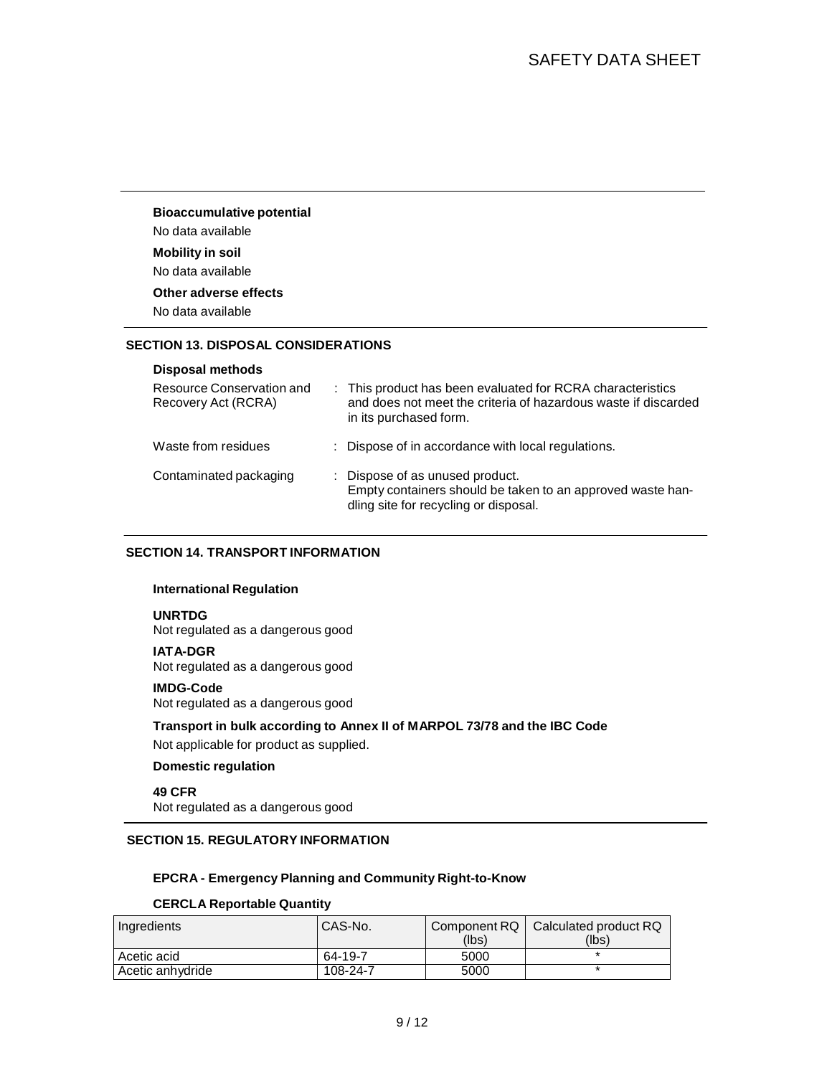### **Bioaccumulative potential** No data available

#### **Mobility in soil**

No data available

## **Other adverse effects**

No data available

### **SECTION 13. DISPOSAL CONSIDERATIONS**

#### **Disposal methods**

| Resource Conservation and<br>Recovery Act (RCRA) | : This product has been evaluated for RCRA characteristics<br>and does not meet the criteria of hazardous waste if discarded<br>in its purchased form. |
|--------------------------------------------------|--------------------------------------------------------------------------------------------------------------------------------------------------------|
| Waste from residues                              | : Dispose of in accordance with local regulations.                                                                                                     |
| Contaminated packaging                           | : Dispose of as unused product.<br>Empty containers should be taken to an approved waste han-<br>dling site for recycling or disposal.                 |

### **SECTION 14. TRANSPORT INFORMATION**

#### **International Regulation**

### **UNRTDG**

Not regulated as a dangerous good

#### **IATA-DGR**

Not regulated as a dangerous good

#### **IMDG-Code**

Not regulated as a dangerous good

## **Transport in bulk according to Annex II of MARPOL 73/78 and the IBC Code**

Not applicable for product as supplied.

### **Domestic regulation**

**49 CFR** Not regulated as a dangerous good

## **SECTION 15. REGULATORY INFORMATION**

### **EPCRA - Emergency Planning and Community Right-to-Know**

### **CERCLA Reportable Quantity**

| Ingredients      | CAS-No.  | Component RQ<br>(lbs) | Calculated product RQ<br>(lbs) |
|------------------|----------|-----------------------|--------------------------------|
| Acetic acid      | 64-19-7  | 5000                  |                                |
| Acetic anhydride | 108-24-7 | 5000                  |                                |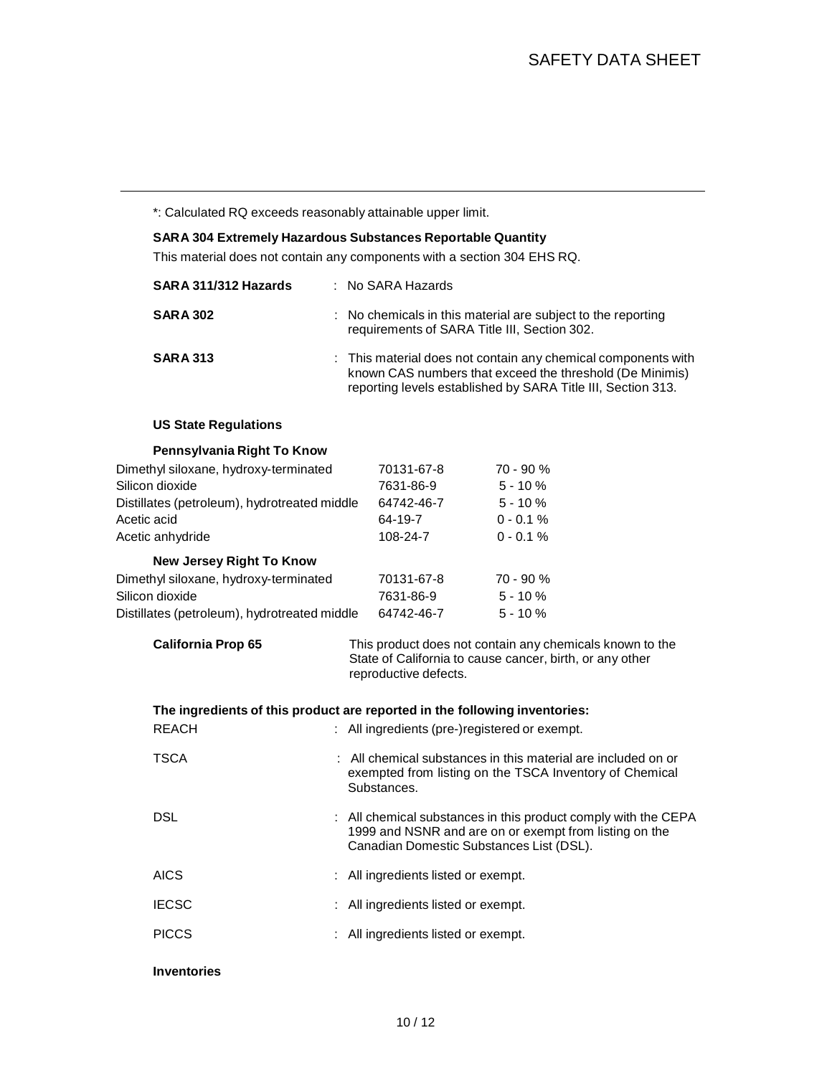\*: Calculated RQ exceeds reasonably attainable upper limit.

# **SARA 304 Extremely Hazardous Substances Reportable Quantity** This material does not contain any components with a section 304 EHS RQ. **SARA 311/312 Hazards** : No SARA Hazards **SARA 302** : No chemicals in this material are subject to the reporting requirements of SARA Title III, Section 302. **SARA 313** : This material does not contain any chemical components with known CAS numbers that exceed the threshold (De Minimis) reporting levels established by SARA Title III, Section 313. **US State Regulations Pennsylvania Right To Know** Dimethyl siloxane, hydroxy-terminated 70131-67-8 70 - 90 % Silicon dioxide 7631-86-9 5 - 10 % Distillates (petroleum), hydrotreated middle 64742-46-7 5 - 10 % Acetic acid 64-19-7 0 - 0.1 % Acetic anhydride 108-24-7 0 - 0.1 % **New Jersey Right To Know** Dimethyl siloxane, hydroxy-terminated 70131-67-8 70 - 90 % Silicon dioxide 7631-86-9 5 - 10 % Distillates (petroleum), hydrotreated middle 64742-46-7 5 - 10 % **California Prop 65** This product does not contain any chemicals known to the State of California to cause cancer, birth, or any other reproductive defects. **The ingredients of this product are reported in the following inventories:** REACH : All ingredients (pre-)registered or exempt. TSCA : All chemical substances in this material are included on or exempted from listing on the TSCA Inventory of Chemical Substances. DSL **EXECUTE:** All chemical substances in this product comply with the CEPA 1999 and NSNR and are on or exempt from listing on the Canadian Domestic Substances List (DSL). AICS : All ingredients listed or exempt. IECSC : All ingredients listed or exempt.

PICCS : All ingredients listed or exempt.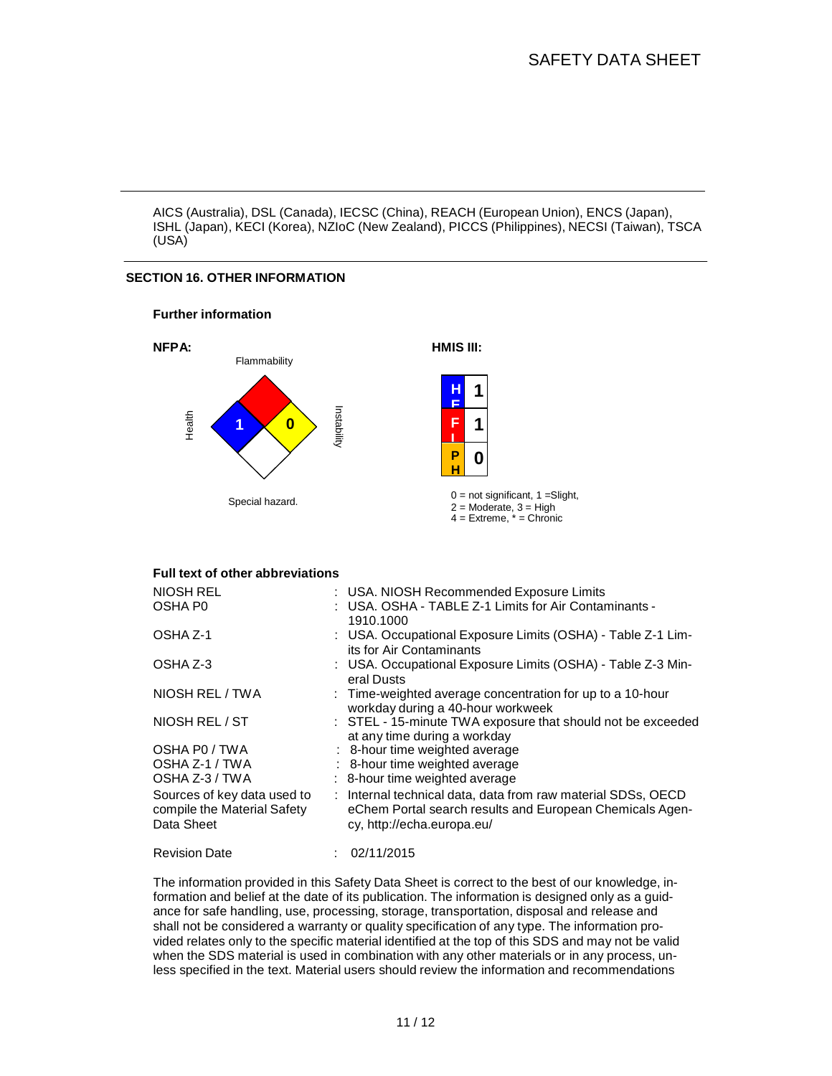AICS (Australia), DSL (Canada), IECSC (China), REACH (European Union), ENCS (Japan), ISHL (Japan), KECI (Korea), NZIoC (New Zealand), PICCS (Philippines), NECSI (Taiwan), TSCA (USA)

## **SECTION 16. OTHER INFORMATION**





#### **Full text of other abbreviations**

| <b>NIOSH REL</b><br>OSHA P <sub>0</sub>                                  | : USA. NIOSH Recommended Exposure Limits<br>: USA. OSHA - TABLE Z-1 Limits for Air Contaminants -<br>1910.1000                                         |
|--------------------------------------------------------------------------|--------------------------------------------------------------------------------------------------------------------------------------------------------|
| OSHA Z-1                                                                 | : USA. Occupational Exposure Limits (OSHA) - Table Z-1 Lim-<br>its for Air Contaminants                                                                |
| OSHA Z-3                                                                 | : USA. Occupational Exposure Limits (OSHA) - Table Z-3 Min-<br>eral Dusts                                                                              |
| NIOSH REL / TWA                                                          | : Time-weighted average concentration for up to a 10-hour<br>workday during a 40-hour workweek                                                         |
| NIOSH REL / ST                                                           | : STEL - 15-minute TWA exposure that should not be exceeded<br>at any time during a workday                                                            |
| OSHA PO / TWA                                                            | : 8-hour time weighted average                                                                                                                         |
| OSHA Z-1 / TWA                                                           | : 8-hour time weighted average                                                                                                                         |
| OSHA Z-3 / TWA                                                           | : 8-hour time weighted average                                                                                                                         |
| Sources of key data used to<br>compile the Material Safety<br>Data Sheet | : Internal technical data, data from raw material SDSs, OECD<br>eChem Portal search results and European Chemicals Agen-<br>cy, http://echa.europa.eu/ |
| <b>Revision Date</b>                                                     | : 02/11/2015                                                                                                                                           |

The information provided in this Safety Data Sheet is correct to the best of our knowledge, information and belief at the date of its publication. The information is designed only as a guidance for safe handling, use, processing, storage, transportation, disposal and release and shall not be considered a warranty or quality specification of any type. The information provided relates only to the specific material identified at the top of this SDS and may not be valid when the SDS material is used in combination with any other materials or in any process, unless specified in the text. Material users should review the information and recommendations